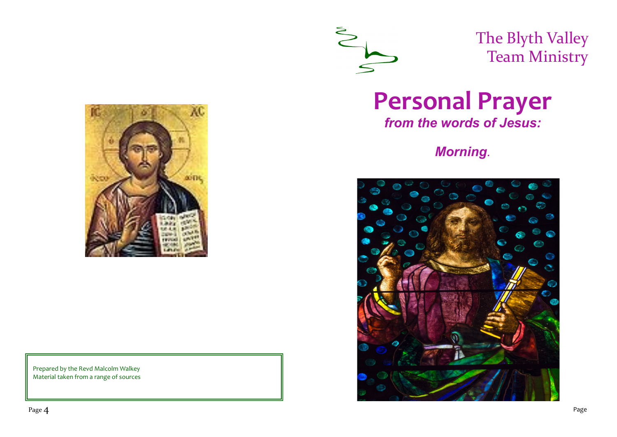

The Blyth Valley Team Ministry



Prepared by the Revd Malcolm Walkey Material taken from a range of sources

# **Personal Prayer**

*from the words of Jesus:* 

## *Morning.*